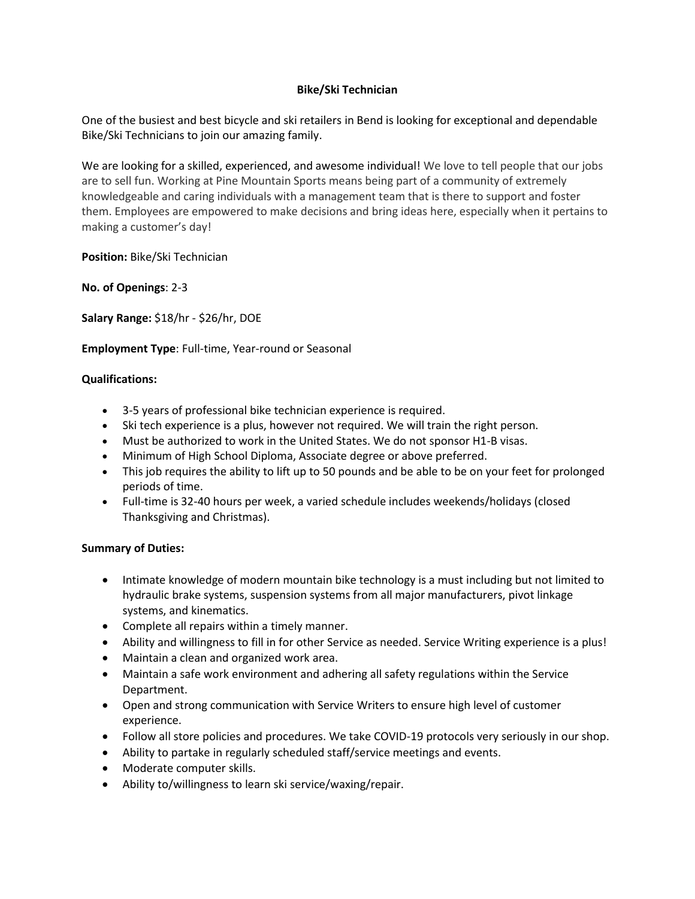## **Bike/Ski Technician**

One of the busiest and best bicycle and ski retailers in Bend is looking for exceptional and dependable Bike/Ski Technicians to join our amazing family.

We are looking for a skilled, experienced, and awesome individual! We love to tell people that our jobs are to sell fun. Working at Pine Mountain Sports means being part of a community of extremely knowledgeable and caring individuals with a management team that is there to support and foster them. Employees are empowered to make decisions and bring ideas here, especially when it pertains to making a customer's day!

**Position:** Bike/Ski Technician

**No. of Openings**: 2-3

**Salary Range:** \$18/hr - \$26/hr, DOE

**Employment Type**: Full-time, Year-round or Seasonal

## **Qualifications:**

- 3-5 years of professional bike technician experience is required.
- Ski tech experience is a plus, however not required. We will train the right person.
- Must be authorized to work in the United States. We do not sponsor H1-B visas.
- Minimum of High School Diploma, Associate degree or above preferred.
- This job requires the ability to lift up to 50 pounds and be able to be on your feet for prolonged periods of time.
- Full-time is 32-40 hours per week, a varied schedule includes weekends/holidays (closed Thanksgiving and Christmas).

## **Summary of Duties:**

- Intimate knowledge of modern mountain bike technology is a must including but not limited to hydraulic brake systems, suspension systems from all major manufacturers, pivot linkage systems, and kinematics.
- Complete all repairs within a timely manner.
- Ability and willingness to fill in for other Service as needed. Service Writing experience is a plus!
- Maintain a clean and organized work area.
- Maintain a safe work environment and adhering all safety regulations within the Service Department.
- Open and strong communication with Service Writers to ensure high level of customer experience.
- Follow all store policies and procedures. We take COVID-19 protocols very seriously in our shop.
- Ability to partake in regularly scheduled staff/service meetings and events.
- Moderate computer skills.
- Ability to/willingness to learn ski service/waxing/repair.